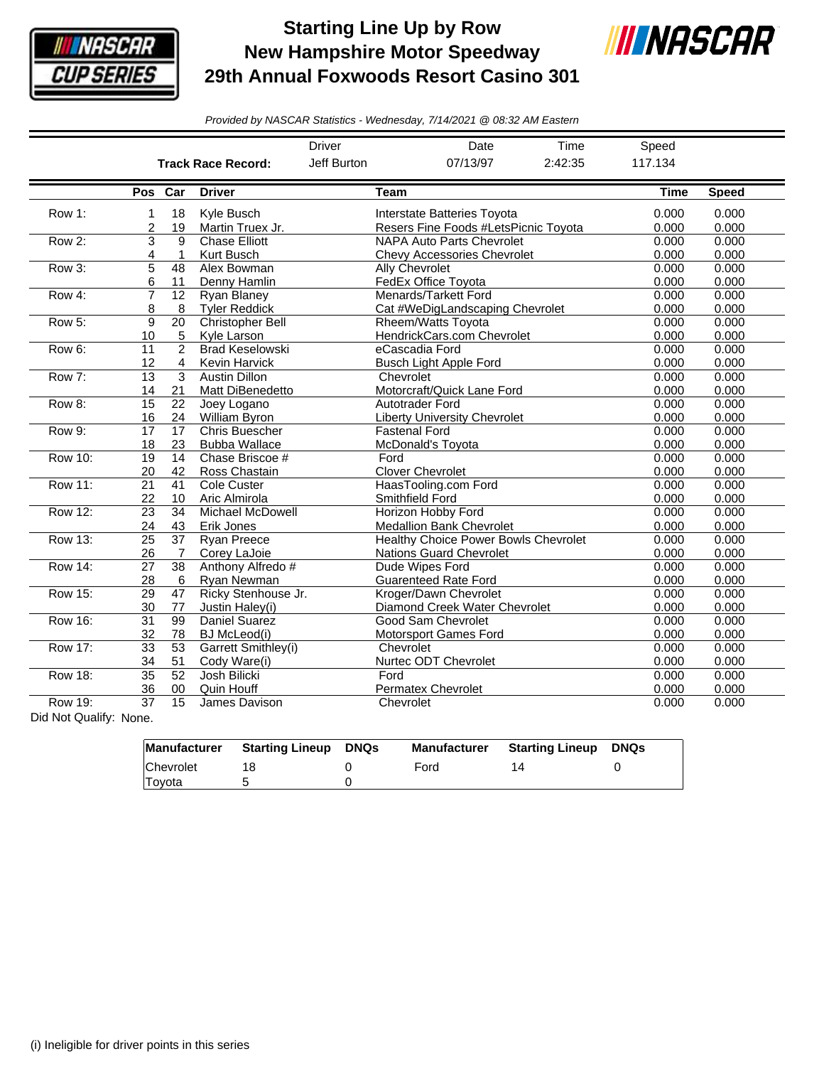

## **Starting Line Up by Row New Hampshire Motor Speedway 29th Annual Foxwoods Resort Casino 301**



*Provided by NASCAR Statistics - Wednesday, 7/14/2021 @ 08:32 AM Eastern*

|                |                                                                                   |                 |                           | <b>Driver</b> | Date                                        | Time    | Speed       |              |
|----------------|-----------------------------------------------------------------------------------|-----------------|---------------------------|---------------|---------------------------------------------|---------|-------------|--------------|
|                |                                                                                   |                 | <b>Track Race Record:</b> | Jeff Burton   | 07/13/97                                    | 2:42:35 | 117.134     |              |
|                | Pos Car                                                                           |                 | <b>Driver</b>             |               | <b>Team</b>                                 |         | <b>Time</b> | <b>Speed</b> |
| Row 1:         | 1                                                                                 | 18              | Kyle Busch                |               | Interstate Batteries Toyota                 |         | 0.000       | 0.000        |
|                | 2                                                                                 | 19              | Martin Truex Jr.          |               | Resers Fine Foods #LetsPicnic Toyota        |         | 0.000       | 0.000        |
| Row 2:         | 3                                                                                 | 9               | <b>Chase Elliott</b>      |               | NAPA Auto Parts Chevrolet                   | 0.000   | 0.000       |              |
|                | 4                                                                                 | 1               | Kurt Busch                |               | <b>Chevy Accessories Chevrolet</b>          | 0.000   | 0.000       |              |
| Row 3:         | 5                                                                                 | 48              | Alex Bowman               |               | Ally Chevrolet                              | 0.000   | 0.000       |              |
|                | 6                                                                                 | 11              | Denny Hamlin              |               | FedEx Office Toyota                         | 0.000   | 0.000       |              |
| Row 4:         | $\overline{7}$                                                                    | $\overline{12}$ | <b>Ryan Blaney</b>        |               | Menards/Tarkett Ford                        | 0.000   | 0.000       |              |
|                | 8                                                                                 | 8               | <b>Tyler Reddick</b>      |               | Cat #WeDigLandscaping Chevrolet             | 0.000   | 0.000       |              |
| Row 5:         | 9                                                                                 | $\overline{20}$ | <b>Christopher Bell</b>   |               | Rheem/Watts Toyota                          | 0.000   | 0.000       |              |
|                | 10                                                                                | 5               | Kyle Larson               |               | HendrickCars.com Chevrolet                  | 0.000   | 0.000       |              |
| Row 6:         | $\overline{11}$                                                                   | $\overline{2}$  | <b>Brad Keselowski</b>    |               | eCascadia Ford                              | 0.000   | 0.000       |              |
|                | 12                                                                                | 4               | Kevin Harvick             |               | <b>Busch Light Apple Ford</b>               |         | 0.000       | 0.000        |
| Row 7:         | 13                                                                                | 3               | <b>Austin Dillon</b>      |               | Chevrolet                                   |         | 0.000       | 0.000        |
|                | 14                                                                                | 21              | Matt DiBenedetto          |               | Motorcraft/Quick Lane Ford                  |         | 0.000       | 0.000        |
| Row 8:         | $\overline{15}$                                                                   | 22              | Joey Logano               |               | Autotrader Ford                             |         | 0.000       | 0.000        |
|                | 16                                                                                | 24              | William Byron             |               | <b>Liberty University Chevrolet</b>         |         | 0.000       | 0.000        |
| Row 9:         | 17                                                                                | 17              | <b>Chris Buescher</b>     |               | <b>Fastenal Ford</b>                        |         | 0.000       | 0.000        |
|                | 18                                                                                | 23              | <b>Bubba Wallace</b>      |               | McDonald's Toyota                           |         | 0.000       | 0.000        |
| <b>Row 10:</b> | 19                                                                                | 14              | Chase Briscoe #           |               | Ford                                        |         | 0.000       | 0.000        |
|                | 20                                                                                | 42              | Ross Chastain             |               | <b>Clover Chevrolet</b>                     |         | 0.000       | 0.000        |
| <b>Row 11:</b> | 21                                                                                | 41              | Cole Custer               |               | HaasTooling.com Ford                        | 0.000   | 0.000       |              |
|                | 22                                                                                | 10              | Aric Almirola             |               | Smithfield Ford                             |         | 0.000       | 0.000        |
| Row 12:        | $\overline{23}$                                                                   | 34              | Michael McDowell          |               | Horizon Hobby Ford                          | 0.000   | 0.000       |              |
|                | 24                                                                                | 43              | Erik Jones                |               | <b>Medallion Bank Chevrolet</b>             |         | 0.000       | 0.000        |
| Row 13:        | $\overline{25}$                                                                   | 37              | <b>Ryan Preece</b>        |               | <b>Healthy Choice Power Bowls Chevrolet</b> |         | 0.000       | 0.000        |
|                | 26                                                                                | 7               | Corey LaJoie              |               | <b>Nations Guard Chevrolet</b>              |         | 0.000       | 0.000        |
| <b>Row 14:</b> | 27                                                                                | $\overline{38}$ | Anthony Alfredo #         |               | Dude Wipes Ford                             |         | 0.000       | 0.000        |
|                | 28                                                                                | 6               | <b>Rvan Newman</b>        |               | <b>Guarenteed Rate Ford</b>                 |         | 0.000       | 0.000        |
| Row 15:        | 29                                                                                | 47              | Ricky Stenhouse Jr.       |               | Kroger/Dawn Chevrolet                       |         | 0.000       | 0.000        |
|                | 30                                                                                | 77              | Justin Haley(i)           |               | Diamond Creek Water Chevrolet               |         | 0.000       | 0.000        |
| <b>Row 16:</b> | $\overline{31}$                                                                   | $\overline{99}$ | <b>Daniel Suarez</b>      |               | Good Sam Chevrolet                          |         | 0.000       | 0.000        |
|                | 32                                                                                | 78              | <b>BJ</b> McLeod(i)       |               | Motorsport Games Ford                       |         | 0.000       | 0.000        |
| <b>Row 17:</b> | $\overline{33}$                                                                   | $\overline{53}$ | Garrett Smithley(i)       |               | Chevrolet                                   |         | 0.000       | 0.000        |
|                | 34                                                                                | 51              | Cody Ware(i)              |               | Nurtec ODT Chevrolet                        |         | 0.000       | 0.000        |
| <b>Row 18:</b> | $\overline{35}$                                                                   | 52              | Josh Bilicki              |               | Ford                                        |         | 0.000       | 0.000        |
|                | 36                                                                                | 00              | Quin Houff                |               | <b>Permatex Chevrolet</b>                   |         | 0.000       | 0.000        |
| <b>Row 19:</b> | 37<br>15<br>James Davison<br>Chevrolet<br>$D(A, M_{24}, O_{112}, M_{21}, M_{12})$ |                 |                           |               |                                             |         | 0.000       | 0.000        |

Did Not Qualify: None.

|               | Manufacturer Starting Lineup | DNQs | <b>Manufacturer</b> | <b>Starting Lineup DNQs</b> |  |
|---------------|------------------------------|------|---------------------|-----------------------------|--|
| Chevrolet     |                              |      | Ford                |                             |  |
| <b>Tovota</b> |                              |      |                     |                             |  |